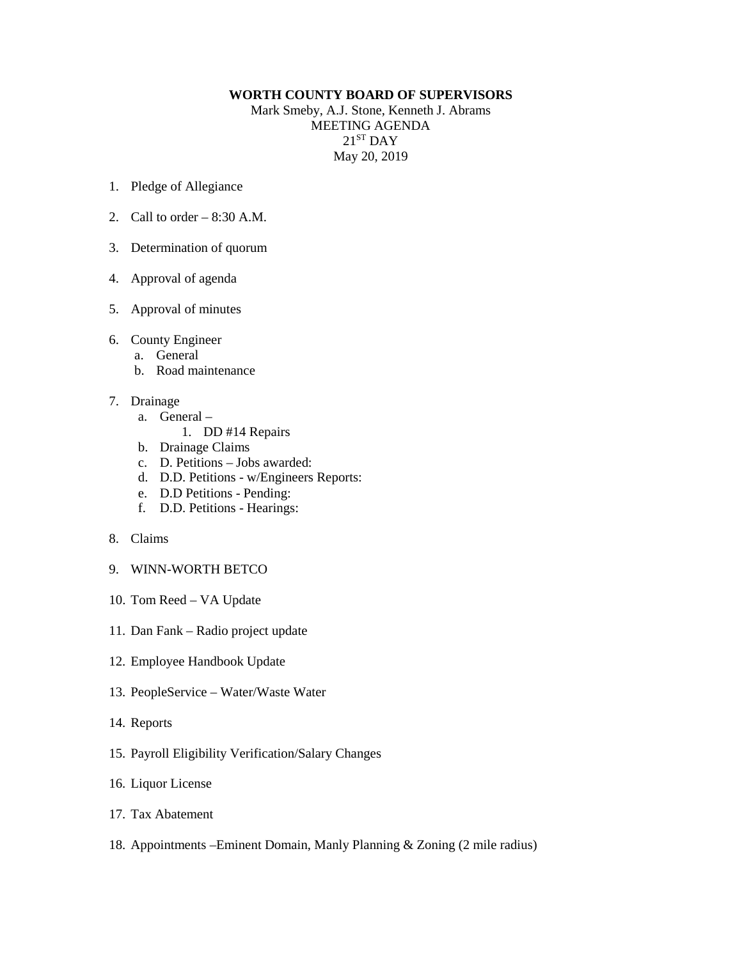## **WORTH COUNTY BOARD OF SUPERVISORS**

Mark Smeby, A.J. Stone, Kenneth J. Abrams MEETING AGENDA  $21<sup>ST</sup>$  DAY May 20, 2019

- 1. Pledge of Allegiance
- 2. Call to order 8:30 A.M.
- 3. Determination of quorum
- 4. Approval of agenda
- 5. Approval of minutes
- 6. County Engineer
	- a. General
	- b. Road maintenance
- 7. Drainage
	- a. General
		- 1. DD #14 Repairs
	- b. Drainage Claims
	- c. D. Petitions Jobs awarded:
	- d. D.D. Petitions w/Engineers Reports:
	- e. D.D Petitions Pending:
	- f. D.D. Petitions Hearings:
- 8. Claims
- 9. WINN-WORTH BETCO
- 10. Tom Reed VA Update
- 11. Dan Fank Radio project update
- 12. Employee Handbook Update
- 13. PeopleService Water/Waste Water
- 14. Reports
- 15. Payroll Eligibility Verification/Salary Changes
- 16. Liquor License
- 17. Tax Abatement
- 18. Appointments –Eminent Domain, Manly Planning & Zoning (2 mile radius)